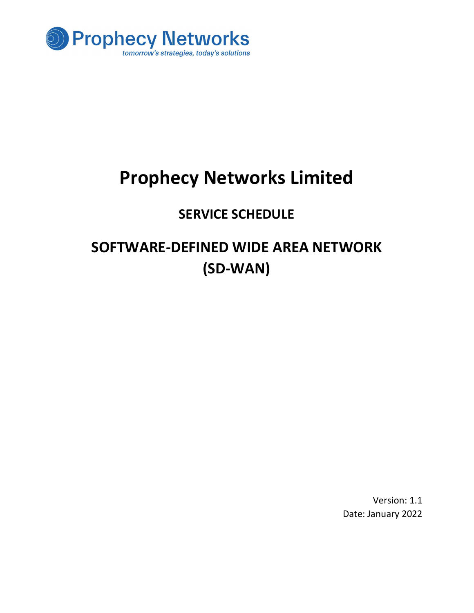

# Prophecy Networks Limited

### SERVICE SCHEDULE

## SOFTWARE-DEFINED WIDE AREA NETWORK (SD-WAN)

Version: 1.1 Date: January 2022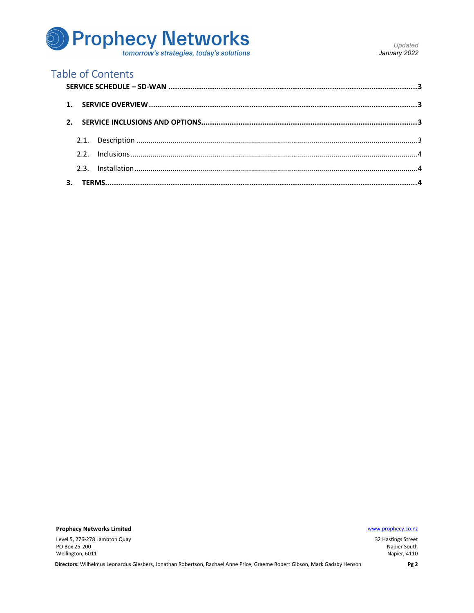# **D** Prophecy Networks

Updated January 2022

### **Table of Contents**

**Prophecy Networks Limited** 

Level 5, 276-278 Lambton Quay PO Box 25-200 Wellington, 6011

www.prophecy.co.nz

32 Hastings Street Napier South Napier, 4110

Directors: Wilhelmus Leonardus Giesbers, Jonathan Robertson, Rachael Anne Price, Graeme Robert Gibson, Mark Gadsby Henson

Pg<sub>2</sub>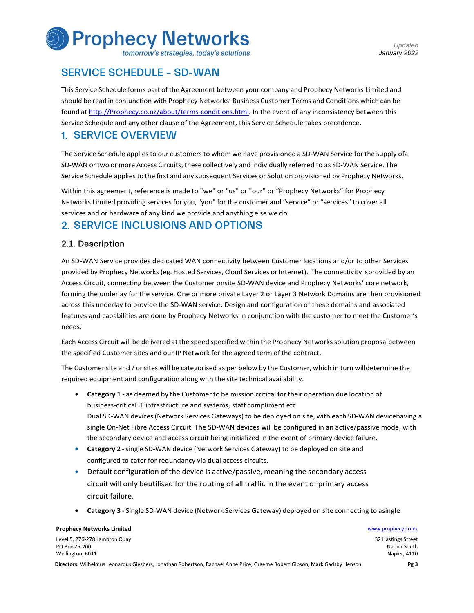# **Prophecy Networks**

tomorrow's strategies, today's solutions

#### SERVICE SCHEDULE – SD-WAN

This Service Schedule forms part of the Agreement between your company and Prophecy Networks Limited and should be read in conjunction with Prophecy Networks' Business Customer Terms and Conditions which can be found at http://Prophecy.co.nz/about/terms-conditions.html. In the event of any inconsistency between this Service Schedule and any other clause of the Agreement, this Service Schedule takes precedence.

#### 1. SERVICE OVERVIEW

The Service Schedule applies to our customers to whom we have provisioned a SD-WAN Service for the supply of a SD-WAN or two or more Access Circuits, these collectively and individually referred to as SD-WAN Service. The Service Schedule applies to the first and any subsequent Services or Solution provisioned by Prophecy Networks.

Within this agreement, reference is made to "we" or "us" or "our" or "Prophecy Networks" for Prophecy Networks Limited providing services for you, "you" for the customer and "service" or "services" to cover all services and or hardware of any kind we provide and anything else we do.

#### 2. SERVICE INCLUSIONS AND OPTIONS

#### 2.1. Description

An SD-WAN Service provides dedicated WAN connectivity between Customer locations and/or to other Services provided by Prophecy Networks (eg. Hosted Services, Cloud Services or Internet). The connectivity is provided by an Access Circuit, connecting between the Customer onsite SD-WAN device and Prophecy Networks' core network, forming the underlay for the service. One or more private Layer 2 or Layer 3 Network Domains are then provisioned across this underlay to provide the SD-WAN service. Design and configuration of these domains and associated features and capabilities are done by Prophecy Networks in conjunction with the customer to meet the Customer's needs.

Each Access Circuit will be delivered at the speed specified within the Prophecy Networks solution proposal between the specified Customer sites and our IP Network for the agreed term of the contract.

The Customer site and / or sites will be categorised as per below by the Customer, which in turn will determine the required equipment and configuration along with the site technical availability.

- Category 1 as deemed by the Customer to be mission critical for their operation due location of business-critical IT infrastructure and systems, staff compliment etc. Dual SD-WAN devices (Network Services Gateways) to be deployed on site, with each SD-WAN devicehaving a single On-Net Fibre Access Circuit. The SD-WAN devices will be configured in an active/passive mode, with the secondary device and access circuit being initialized in the event of primary device failure.
- Category 2 single SD-WAN device (Network Services Gateway) to be deployed on site and configured to cater for redundancy via dual access circuits.
- Default configuration of the device is active/passive, meaning the secondary access circuit will only be utilised for the routing of all traffic in the event of primary access circuit failure.
- Category 3 Single SD-WAN device (Network Services Gateway) deployed on site connecting to asingle

#### **Prophecy Networks Limited Water School School School School School School School School School School School School School School School School School School School School School School School School School School School**

Level 5, 276-278 Lambton Quay PO Box 25-200 Wellington, 6011

32 Hastings Street Napier South Napier, 4110

Directors: Wilhelmus Leonardus Giesbers, Jonathan Robertson, Rachael Anne Price, Graeme Robert Gibson, Mark Gadsby Henson Pg 3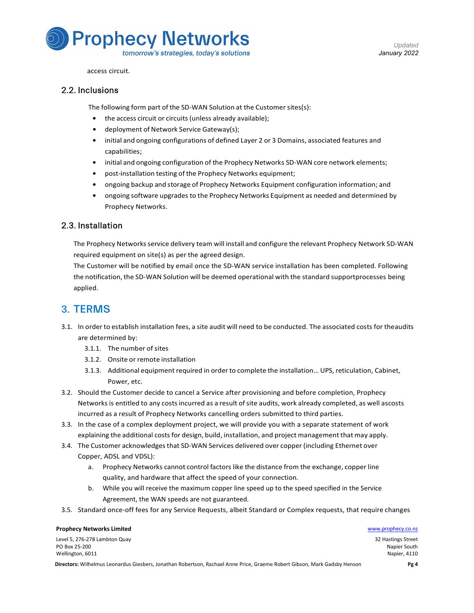

access circuit.

#### 2.2. Inclusions

The following form part of the SD-WAN Solution at the Customer sites(s):

- the access circuit or circuits (unless already available);
- deployment of Network Service Gateway(s);
- initial and ongoing configurations of defined Layer 2 or 3 Domains, associated features and capabilities;
- initial and ongoing configuration of the Prophecy Networks SD-WAN core network elements;
- post-installation testing of the Prophecy Networks equipment;
- ongoing backup and storage of Prophecy Networks Equipment configuration information; and
- ongoing software upgrades to the Prophecy Networks Equipment as needed and determined by Prophecy Networks.

#### 2.3. Installation

The Prophecy Networks service delivery team will install and configure the relevant Prophecy Network SD- WAN required equipment on site(s) as per the agreed design.

The Customer will be notified by email once the SD-WAN service installation has been completed. Following the notification, the SD-WAN Solution will be deemed operational with the standard support processes being applied.

#### 3. TERMS

- 3.1. In order to establish installation fees, a site audit will need to be conducted. The associated costs for the audits are determined by:
	- 3.1.1. The number of sites
	- 3.1.2. Onsite or remote installation
	- 3.1.3. Additional equipment required in order to complete the installation… UPS, reticulation, Cabinet, Power, etc.
- 3.2. Should the Customer decide to cancel a Service after provisioning and before completion, Prophecy Networks is entitled to any costs incurred as a result of site audits, work already completed, as well ascosts incurred as a result of Prophecy Networks cancelling orders submitted to third parties.
- 3.3. In the case of a complex deployment project, we will provide you with a separate statement of work explaining the additional costs for design, build, installation, and project management that may apply.
- 3.4. The Customer acknowledges that SD-WAN Services delivered over copper (including Ethernet over Copper, ADSL and VDSL):
	- a. Prophecy Networks cannot control factors like the distance from the exchange, copper line quality, and hardware that affect the speed of your connection.
	- b. While you will receive the maximum copper line speed up to the speed specified in the Service Agreement, the WAN speeds are not guaranteed.
- 3.5. Standard once-off fees for any Service Requests, albeit Standard or Complex requests, that require changes

Level 5, 276-278 Lambton Quay PO Box 25-200 Wellington, 6011

**Prophecy Networks Limited Water School School School School School School School School School School School School School School School School School School School School School School School School School School School** 32 Hastings Street Napier South Napier, 4110

Directors: Wilhelmus Leonardus Giesbers, Jonathan Robertson, Rachael Anne Price, Graeme Robert Gibson, Mark Gadsby Henson Pg 4